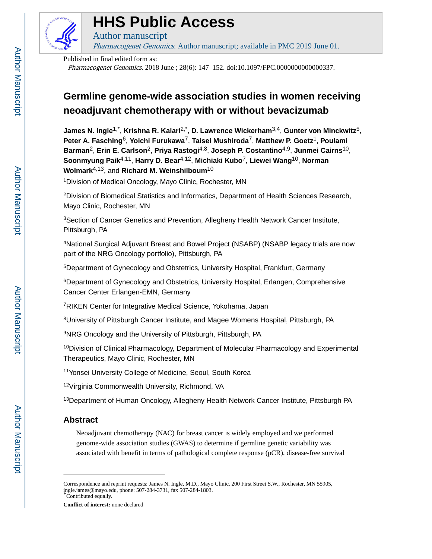

## **HHS Public Access**

Pharmacogenet Genomics. Author manuscript; available in PMC 2019 June 01.

Published in final edited form as:

Author manuscript

Pharmacogenet Genomics. 2018 June ; 28(6): 147–152. doi:10.1097/FPC.0000000000000337.

### **Germline genome-wide association studies in women receiving neoadjuvant chemotherapy with or without bevacizumab**

**James N. Ingle**1,\* , **Krishna R. Kalari**2,\* , **D. Lawrence Wickerham**3,4, **Gunter von Minckwitz**5, **Peter A. Fasching**6, **Yoichi Furukawa**7, **Taisei Mushiroda**7, **Matthew P. Goetz**1, **Poulami Barman**2, **Erin E. Carlson**2, **Priya Rastogi**4,8, **Joseph P. Costantino**4,9, **Junmei Cairns**10, **Soonmyung Paik**4,11, **Harry D. Bear**4,12, **Michiaki Kubo**7, **Liewei Wang**10, **Norman Wolmark**4,13, and **Richard M. Weinshilboum**<sup>10</sup>

<sup>1</sup>Division of Medical Oncology, Mayo Clinic, Rochester, MN

<sup>2</sup>Division of Biomedical Statistics and Informatics, Department of Health Sciences Research, Mayo Clinic, Rochester, MN

<sup>3</sup>Section of Cancer Genetics and Prevention, Allegheny Health Network Cancer Institute, Pittsburgh, PA

<sup>4</sup>National Surgical Adjuvant Breast and Bowel Project (NSABP) (NSABP legacy trials are now part of the NRG Oncology portfolio), Pittsburgh, PA

<sup>5</sup>Department of Gynecology and Obstetrics, University Hospital, Frankfurt, Germany

<sup>6</sup>Department of Gynecology and Obstetrics, University Hospital, Erlangen, Comprehensive Cancer Center Erlangen-EMN, Germany

<sup>7</sup>RIKEN Center for Integrative Medical Science, Yokohama, Japan

<sup>8</sup>University of Pittsburgh Cancer Institute, and Magee Womens Hospital, Pittsburgh, PA

9NRG Oncology and the University of Pittsburgh, Pittsburgh, PA

<sup>10</sup>Division of Clinical Pharmacology, Department of Molecular Pharmacology and Experimental Therapeutics, Mayo Clinic, Rochester, MN

<sup>11</sup>Yonsei University College of Medicine, Seoul, South Korea

<sup>12</sup>Virginia Commonwealth University, Richmond, VA

<sup>13</sup>Department of Human Oncology, Allegheny Health Network Cancer Institute, Pittsburgh PA

#### **Abstract**

Neoadjuvant chemotherapy (NAC) for breast cancer is widely employed and we performed genome-wide association studies (GWAS) to determine if germline genetic variability was associated with benefit in terms of pathological complete response (pCR), disease-free survival

**Conflict of interest:** none declared

Correspondence and reprint requests: James N. Ingle, M.D., Mayo Clinic, 200 First Street S.W., Rochester, MN 55905, ingle.james@mayo.edu, phone: 507-284-3731, fax 507-284-1803. Contributed equally.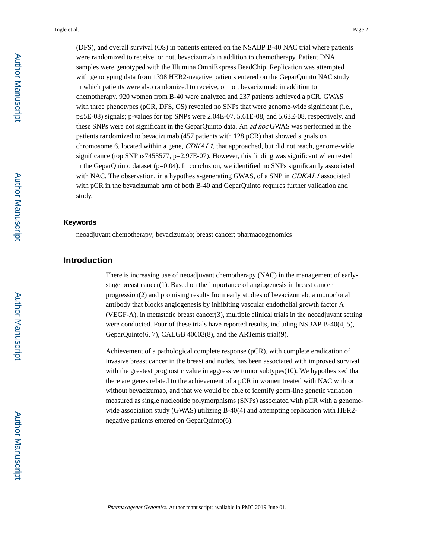Ingle et al. Page 2

(DFS), and overall survival (OS) in patients entered on the NSABP B-40 NAC trial where patients were randomized to receive, or not, bevacizumab in addition to chemotherapy. Patient DNA samples were genotyped with the Illumina OmniExpress BeadChip. Replication was attempted with genotyping data from 1398 HER2-negative patients entered on the GeparQuinto NAC study in which patients were also randomized to receive, or not, bevacizumab in addition to chemotherapy. 920 women from B-40 were analyzed and 237 patients achieved a pCR. GWAS with three phenotypes (pCR, DFS, OS) revealed no SNPs that were genome-wide significant (i.e., p≤5E-08) signals; p-values for top SNPs were 2.04E-07, 5.61E-08, and 5.63E-08, respectively, and these SNPs were not significant in the GeparQuinto data. An *ad hoc* GWAS was performed in the patients randomized to bevacizumab (457 patients with 128 pCR) that showed signals on chromosome 6, located within a gene, *CDKAL1*, that approached, but did not reach, genome-wide significance (top SNP rs7453577,  $p=2.97E-07$ ). However, this finding was significant when tested in the GeparQuinto dataset  $(p=0.04)$ . In conclusion, we identified no SNPs significantly associated with NAC. The observation, in a hypothesis-generating GWAS, of a SNP in *CDKAL1* associated with pCR in the bevacizumab arm of both B-40 and GeparQuinto requires further validation and study.

#### **Keywords**

neoadjuvant chemotherapy; bevacizumab; breast cancer; pharmacogenomics

#### **Introduction**

There is increasing use of neoadjuvant chemotherapy (NAC) in the management of earlystage breast cancer(1). Based on the importance of angiogenesis in breast cancer progression(2) and promising results from early studies of bevacizumab, a monoclonal antibody that blocks angiogenesis by inhibiting vascular endothelial growth factor A (VEGF-A), in metastatic breast cancer(3), multiple clinical trials in the neoadjuvant setting were conducted. Four of these trials have reported results, including NSBAP B-40(4, 5), GeparQuinto(6, 7), CALGB 40603(8), and the ARTemis trial(9).

Achievement of a pathological complete response (pCR), with complete eradication of invasive breast cancer in the breast and nodes, has been associated with improved survival with the greatest prognostic value in aggressive tumor subtypes(10). We hypothesized that there are genes related to the achievement of a pCR in women treated with NAC with or without bevacizumab, and that we would be able to identify germ-line genetic variation measured as single nucleotide polymorphisms (SNPs) associated with pCR with a genomewide association study (GWAS) utilizing B-40(4) and attempting replication with HER2 negative patients entered on GeparQuinto(6).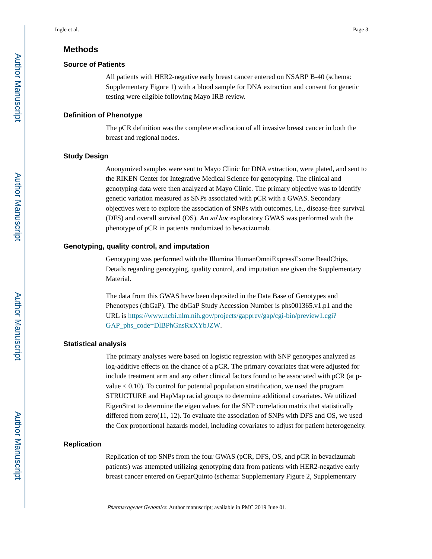#### **Methods**

#### **Source of Patients**

All patients with HER2-negative early breast cancer entered on NSABP B-40 (schema: Supplementary Figure 1) with a blood sample for DNA extraction and consent for genetic testing were eligible following Mayo IRB review.

#### **Definition of Phenotype**

The pCR definition was the complete eradication of all invasive breast cancer in both the breast and regional nodes.

#### **Study Design**

Anonymized samples were sent to Mayo Clinic for DNA extraction, were plated, and sent to the RIKEN Center for Integrative Medical Science for genotyping. The clinical and genotyping data were then analyzed at Mayo Clinic. The primary objective was to identify genetic variation measured as SNPs associated with pCR with a GWAS. Secondary objectives were to explore the association of SNPs with outcomes, i.e., disease-free survival (DFS) and overall survival (OS). An ad hoc exploratory GWAS was performed with the phenotype of pCR in patients randomized to bevacizumab.

#### **Genotyping, quality control, and imputation**

Genotyping was performed with the Illumina HumanOmniExpressExome BeadChips. Details regarding genotyping, quality control, and imputation are given the Supplementary Material.

The data from this GWAS have been deposited in the Data Base of Genotypes and Phenotypes (dbGaP). The dbGaP Study Accession Number is phs001365.v1.p1 and the URL is [https://www.ncbi.nlm.nih.gov/projects/gapprev/gap/cgi-bin/preview1.cgi?](https://www.ncbi.nlm.nih.gov/projects/gapprev/gap/cgi-bin/preview1.cgi?GAP_phs_code=DlBPhGnsRxXYbJZW) [GAP\\_phs\\_code=DlBPhGnsRxXYbJZW](https://www.ncbi.nlm.nih.gov/projects/gapprev/gap/cgi-bin/preview1.cgi?GAP_phs_code=DlBPhGnsRxXYbJZW).

#### **Statistical analysis**

The primary analyses were based on logistic regression with SNP genotypes analyzed as log-additive effects on the chance of a pCR. The primary covariates that were adjusted for include treatment arm and any other clinical factors found to be associated with pCR (at pvalue  $< 0.10$ ). To control for potential population stratification, we used the program STRUCTURE and HapMap racial groups to determine additional covariates. We utilized EigenStrat to determine the eigen values for the SNP correlation matrix that statistically differed from zero(11, 12). To evaluate the association of SNPs with DFS and OS, we used the Cox proportional hazards model, including covariates to adjust for patient heterogeneity.

#### **Replication**

Replication of top SNPs from the four GWAS (pCR, DFS, OS, and pCR in bevacizumab patients) was attempted utilizing genotyping data from patients with HER2-negative early breast cancer entered on GeparQuinto (schema: Supplementary Figure 2, Supplementary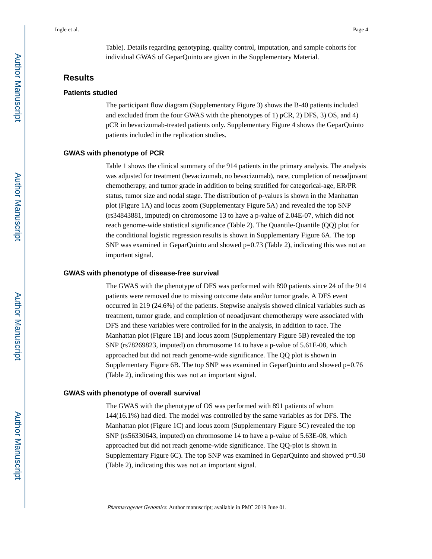Table). Details regarding genotyping, quality control, imputation, and sample cohorts for individual GWAS of GeparQuinto are given in the Supplementary Material.

#### **Results**

#### **Patients studied**

The participant flow diagram (Supplementary Figure 3) shows the B-40 patients included and excluded from the four GWAS with the phenotypes of 1) pCR, 2) DFS, 3) OS, and 4) pCR in bevacizumab-treated patients only. Supplementary Figure 4 shows the GeparQuinto patients included in the replication studies.

#### **GWAS with phenotype of PCR**

Table 1 shows the clinical summary of the 914 patients in the primary analysis. The analysis was adjusted for treatment (bevacizumab, no bevacizumab), race, completion of neoadjuvant chemotherapy, and tumor grade in addition to being stratified for categorical-age, ER/PR status, tumor size and nodal stage. The distribution of p-values is shown in the Manhattan plot (Figure 1A) and locus zoom (Supplementary Figure 5A) and revealed the top SNP (rs34843881, imputed) on chromosome 13 to have a p-value of 2.04E-07, which did not reach genome-wide statistical significance (Table 2). The Quantile-Quantile (QQ) plot for the conditional logistic regression results is shown in Supplementary Figure 6A. The top SNP was examined in GeparQuinto and showed  $p=0.73$  (Table 2), indicating this was not an important signal.

#### **GWAS with phenotype of disease-free survival**

The GWAS with the phenotype of DFS was performed with 890 patients since 24 of the 914 patients were removed due to missing outcome data and/or tumor grade. A DFS event occurred in 219 (24.6%) of the patients. Stepwise analysis showed clinical variables such as treatment, tumor grade, and completion of neoadjuvant chemotherapy were associated with DFS and these variables were controlled for in the analysis, in addition to race. The Manhattan plot (Figure 1B) and locus zoom (Supplementary Figure 5B) revealed the top SNP (rs78269823, imputed) on chromosome 14 to have a p-value of 5.61E-08, which approached but did not reach genome-wide significance. The QQ plot is shown in Supplementary Figure 6B. The top SNP was examined in GeparQuinto and showed  $p=0.76$ (Table 2), indicating this was not an important signal.

#### **GWAS with phenotype of overall survival**

The GWAS with the phenotype of OS was performed with 891 patients of whom 144(16.1%) had died. The model was controlled by the same variables as for DFS. The Manhattan plot (Figure 1C) and locus zoom (Supplementary Figure 5C) revealed the top SNP (rs56330643, imputed) on chromosome 14 to have a p-value of 5.63E-08, which approached but did not reach genome-wide significance. The QQ-plot is shown in Supplementary Figure 6C). The top SNP was examined in GeparQuinto and showed  $p=0.50$ (Table 2), indicating this was not an important signal.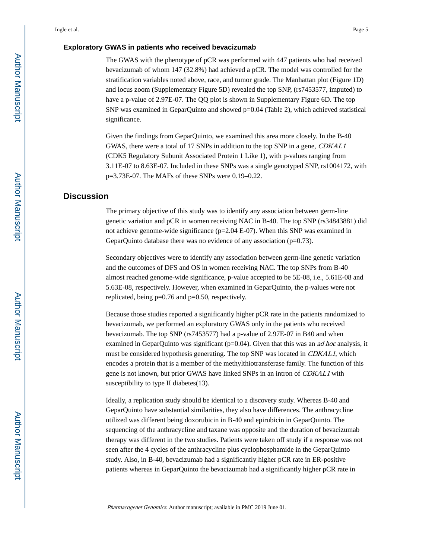#### **Exploratory GWAS in patients who received bevacizumab**

The GWAS with the phenotype of pCR was performed with 447 patients who had received bevacizumab of whom 147 (32.8%) had achieved a pCR. The model was controlled for the stratification variables noted above, race, and tumor grade. The Manhattan plot (Figure 1D) and locus zoom (Supplementary Figure 5D) revealed the top SNP, (rs7453577, imputed) to have a p-value of 2.97E-07. The QQ plot is shown in Supplementary Figure 6D. The top SNP was examined in GeparQuinto and showed p=0.04 (Table 2), which achieved statistical significance.

Given the findings from GeparQuinto, we examined this area more closely. In the B-40 GWAS, there were a total of 17 SNPs in addition to the top SNP in a gene, CDKAL1 (CDK5 Regulatory Subunit Associated Protein 1 Like 1), with p-values ranging from 3.11E-07 to 8.63E-07. Included in these SNPs was a single genotyped SNP, rs1004172, with p=3.73E-07. The MAFs of these SNPs were 0.19–0.22.

#### **Discussion**

The primary objective of this study was to identify any association between germ-line genetic variation and pCR in women receiving NAC in B-40. The top SNP (rs34843881) did not achieve genome-wide significance (p=2.04 E-07). When this SNP was examined in GeparQuinto database there was no evidence of any association (p=0.73).

Secondary objectives were to identify any association between germ-line genetic variation and the outcomes of DFS and OS in women receiving NAC. The top SNPs from B-40 almost reached genome-wide significance, p-value accepted to be 5E-08, i.e., 5.61E-08 and 5.63E-08, respectively. However, when examined in GeparQuinto, the p-values were not replicated, being p=0.76 and p=0.50, respectively.

Because those studies reported a significantly higher pCR rate in the patients randomized to bevacizumab, we performed an exploratory GWAS only in the patients who received bevacizumab. The top SNP (rs7453577) had a p-value of 2.97E-07 in B40 and when examined in GeparQuinto was significant ( $p=0.04$ ). Given that this was an *ad hoc* analysis, it must be considered hypothesis generating. The top SNP was located in *CDKAL1*, which encodes a protein that is a member of the methylthiotransferase family. The function of this gene is not known, but prior GWAS have linked SNPs in an intron of CDKAL1 with susceptibility to type II diabetes(13).

Ideally, a replication study should be identical to a discovery study. Whereas B-40 and GeparQuinto have substantial similarities, they also have differences. The anthracycline utilized was different being doxorubicin in B-40 and epirubicin in GeparQuinto. The sequencing of the anthracycline and taxane was opposite and the duration of bevacizumab therapy was different in the two studies. Patients were taken off study if a response was not seen after the 4 cycles of the anthracycline plus cyclophosphamide in the GeparQuinto study. Also, in B-40, bevacizumab had a significantly higher pCR rate in ER-positive patients whereas in GeparQuinto the bevacizumab had a significantly higher pCR rate in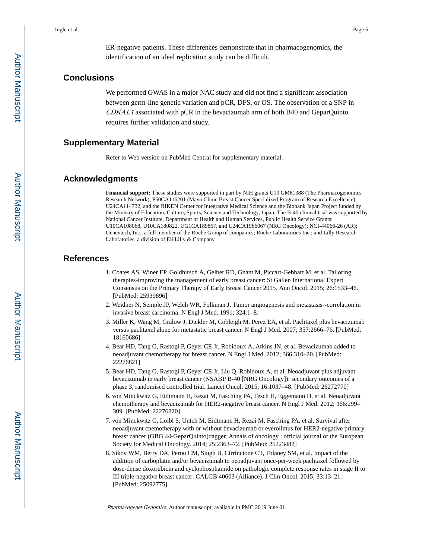ER-negative patients. These differences demonstrate that in pharmacogenomics, the identification of an ideal replication study can be difficult.

#### **Conclusions**

We performed GWAS in a major NAC study and did not find a significant association between germ-line genetic variation and pCR, DFS, or OS. The observation of a SNP in CDKAL1 associated with pCR in the bevacizumab arm of both B40 and GeparQuinto requires further validation and study.

#### **Supplementary Material**

Refer to Web version on PubMed Central for supplementary material.

#### **Acknowledgments**

**Financial support:** These studies were supported in part by NIH grants U19 GM61388 (The Pharmacogenomics Research Network), P50CA116201 (Mayo Clinic Breast Cancer Specialized Program of Research Excellence), U24CA114732, and the RIKEN Center for Integrative Medical Science and the Biobank Japan Project funded by the Ministry of Education, Culture, Sports, Science and Technology, Japan. The B-40 clinical trial was supported by National Cancer Institute, Department of Health and Human Services, Public Health Service Grants: U10CA108068, U10CA180822, UG1CA189867, and U24CA1966067 (NRG Oncology); NCI-44066-26 (AR); Genentech, Inc., a full member of the Roche Group of companies; Roche Laboratories Inc.; and Lilly Research Laboratories, a division of Eli Lilly & Company.

#### **References**

- 1. Coates AS, Winer EP, Goldhirsch A, Gelber RD, Gnant M, Piccart-Gebhart M, et al. Tailoring therapies-improving the management of early breast cancer: St Gallen International Expert Consensus on the Primary Therapy of Early Breast Cancer 2015. Ann Oncol. 2015; 26:1533–46. [PubMed: 25939896]
- 2. Weidner N, Semple JP, Welch WR, Folkman J. Tumor angiogenesis and metastasis--correlation in invasive breast carcinoma. N Engl J Med. 1991; 324:1–8.
- 3. Miller K, Wang M, Gralow J, Dickler M, Cobleigh M, Perez EA, et al. Paclitaxel plus bevacizumab versus paclitaxel alone for metastatic breast cancer. N Engl J Med. 2007; 357:2666–76. [PubMed: 18160686]
- 4. Bear HD, Tang G, Rastogi P, Geyer CE Jr, Robidoux A, Atkins JN, et al. Bevacizumab added to neoadjuvant chemotherapy for breast cancer. N Engl J Med. 2012; 366:310–20. [PubMed: 22276821]
- 5. Bear HD, Tang G, Rastogi P, Geyer CE Jr, Liu Q, Robidoux A, et al. Neoadjuvant plus adjuvant bevacizumab in early breast cancer (NSABP B-40 [NRG Oncology]): secondary outcomes of a phase 3, randomised controlled trial. Lancet Oncol. 2015; 16:1037–48. [PubMed: 26272770]
- 6. von Minckwitz G, Eidtmann H, Rezai M, Fasching PA, Tesch H, Eggemann H, et al. Neoadjuvant chemotherapy and bevacizumab for HER2-negative breast cancer. N Engl J Med. 2012; 366:299– 309. [PubMed: 22276820]
- 7. von Minckwitz G, Loibl S, Untch M, Eidtmann H, Rezai M, Fasching PA, et al. Survival after neoadjuvant chemotherapy with or without bevacizumab or everolimus for HER2-negative primary breast cancer (GBG 44-GeparQuinto)dagger. Annals of oncology : official journal of the European Society for Medical Oncology. 2014; 25:2363–72. [PubMed: 25223482]
- 8. Sikov WM, Berry DA, Perou CM, Singh B, Cirrincione CT, Tolaney SM, et al. Impact of the addition of carboplatin and/or bevacizumab to neoadjuvant once-per-week paclitaxel followed by dose-dense doxorubicin and cyclophosphamide on pathologic complete response rates in stage II to III triple-negative breast cancer: CALGB 40603 (Alliance). J Clin Oncol. 2015; 33:13–21. [PubMed: 25092775]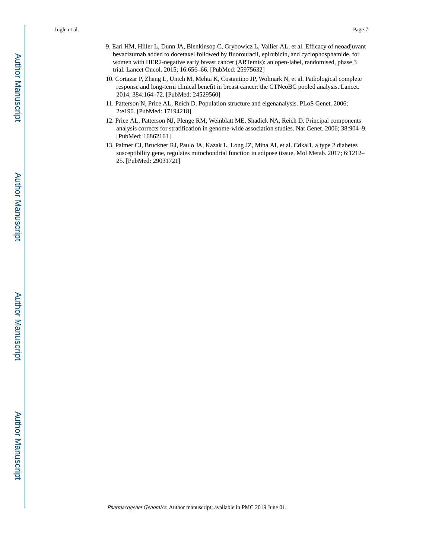Ingle et al. Page 7

- 9. Earl HM, Hiller L, Dunn JA, Blenkinsop C, Grybowicz L, Vallier AL, et al. Efficacy of neoadjuvant bevacizumab added to docetaxel followed by fluorouracil, epirubicin, and cyclophosphamide, for women with HER2-negative early breast cancer (ARTemis): an open-label, randomised, phase 3 trial. Lancet Oncol. 2015; 16:656–66. [PubMed: 25975632]
- 10. Cortazar P, Zhang L, Untch M, Mehta K, Costantino JP, Wolmark N, et al. Pathological complete response and long-term clinical benefit in breast cancer: the CTNeoBC pooled analysis. Lancet. 2014; 384:164–72. [PubMed: 24529560]
- 11. Patterson N, Price AL, Reich D. Population structure and eigenanalysis. PLoS Genet. 2006; 2:e190. [PubMed: 17194218]
- 12. Price AL, Patterson NJ, Plenge RM, Weinblatt ME, Shadick NA, Reich D. Principal components analysis corrects for stratification in genome-wide association studies. Nat Genet. 2006; 38:904–9. [PubMed: 16862161]
- 13. Palmer CJ, Bruckner RJ, Paulo JA, Kazak L, Long JZ, Mina AI, et al. Cdkal1, a type 2 diabetes susceptibility gene, regulates mitochondrial function in adipose tissue. Mol Metab. 2017; 6:1212– 25. [PubMed: 29031721]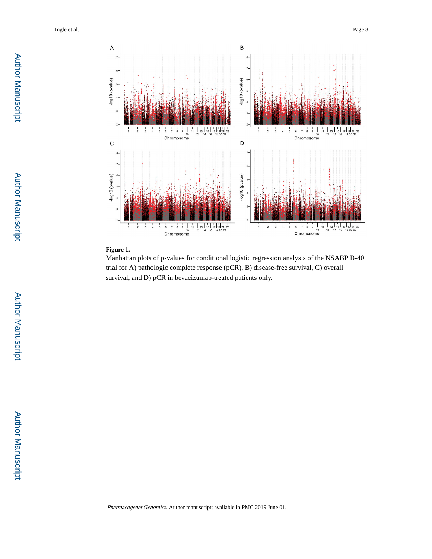Ingle et al. Page 8



#### **Figure 1.**

Manhattan plots of p-values for conditional logistic regression analysis of the NSABP B-40 trial for A) pathologic complete response (pCR), B) disease-free survival, C) overall survival, and D) pCR in bevacizumab-treated patients only.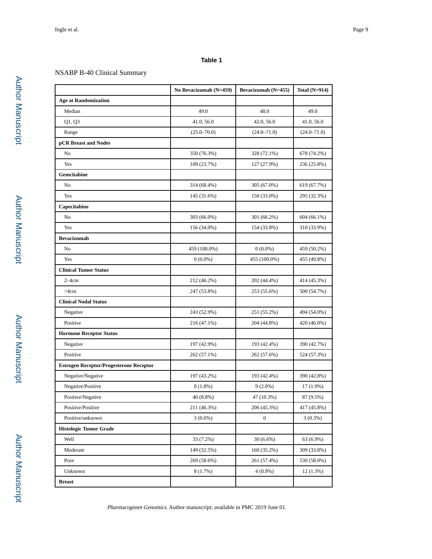#### **Table 1**

#### NSABP B-40 Clinical Summary

|                                                | No Bevacizumab (N=459) | Bevacizumab (N=455) | Total $(N=914)$ |
|------------------------------------------------|------------------------|---------------------|-----------------|
| <b>Age at Randomization</b>                    |                        |                     |                 |
| Median                                         | 49.0                   | 48.0                | 49.0            |
| Q1, Q3                                         | 41.0, 56.0             | 42.0, 56.0          | 41.0, 56.0      |
| Range                                          | $(25.0 - 70.0)$        | $(24.0 - 71.0)$     | $(24.0 - 71.0)$ |
| pCR Breast and Nodes                           |                        |                     |                 |
| No                                             | 350 (76.3%)            | 328 (72.1%)         | 678 (74.2%)     |
| Yes                                            | 109 (23.7%)            | 127 (27.9%)         | 236 (25.8%)     |
| Gemcitabine                                    |                        |                     |                 |
| No                                             | 314 (68.4%)            | 305 (67.0%)         | 619 (67.7%)     |
| Yes                                            | 145 (31.6%)            | 150 (33.0%)         | 295 (32.3%)     |
| Capecitabine                                   |                        |                     |                 |
| No                                             | 303 (66.0%)            | 301 (66.2%)         | 604 (66.1%)     |
| Yes                                            | 156 (34.0%)            | 154 (33.8%)         | 310 (33.9%)     |
| <b>Bevacizumab</b>                             |                        |                     |                 |
| No                                             | 459 (100.0%)           | $0(0.0\%)$          | 459 (50.2%)     |
| Yes                                            | $0(0.0\%)$             | 455 (100.0%)        | 455 (49.8%)     |
| <b>Clinical Tumor Status</b>                   |                        |                     |                 |
| $2-4cm$                                        | 212 (46.2%)            | 202 (44.4%)         | 414 (45.3%)     |
| >4cm                                           | 247 (53.8%)            | 253 (55.6%)         | 500 (54.7%)     |
| <b>Clinical Nodal Status</b>                   |                        |                     |                 |
| Negative                                       | 243 (52.9%)            | 251 (55.2%)         | 494 (54.0%)     |
| Positive                                       | 216 (47.1%)            | 204 (44.8%)         | 420 (46.0%)     |
| <b>Hormone Receptor Status</b>                 |                        |                     |                 |
| Negative                                       | 197 (42.9%)            | 193 (42.4%)         | 390 (42.7%)     |
| Positive                                       | 262 (57.1%)            | 262 (57.6%)         | 524 (57.3%)     |
| <b>Estrogen Receptor/Progesterone Receptor</b> |                        |                     |                 |
| Negative/Negative                              | 197 (43.2%)            | 193 (42.4%)         | 390 (42.8%)     |
| Negative/Positive                              | $8(1.8\%)$             | $9(2.0\%)$          | 17 (1.9%)       |
| Positive/Negative                              | 40 (8.8%)              | 47 (10.3%)          | 87 (9.5%)       |
| Positive/Positive                              | 211 (46.3%)            | 206 (45.3%)         | 417 (45.8%)     |
| Positive/unknown                               | $3(0.6\%)$             | $\boldsymbol{0}$    | $3(0.3\%)$      |
| <b>Histologic Tumor Grade</b>                  |                        |                     |                 |
| Well                                           | 33 (7.2%)              | $30(6.6\%)$         | 63 (6.9%)       |
| Moderate                                       | 149 (32.5%)            | 160 (35.2%)         | 309 (33.8%)     |
| Poor                                           | 269 (58.6%)            | 261 (57.4%)         | 530 (58.0%)     |
| Unknown                                        | 8(1.7%)                | $4(0.9\%)$          | 12(1.3%)        |
| <b>Breast</b>                                  |                        |                     |                 |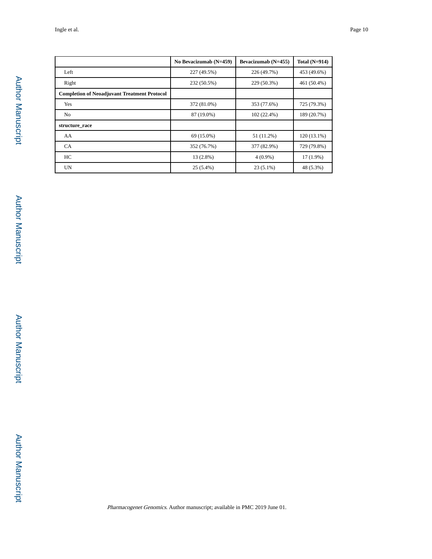|                                                     | No Bevacizumab (N=459) | Bevacizumab (N=455) | Total $(N=914)$ |
|-----------------------------------------------------|------------------------|---------------------|-----------------|
| Left                                                | 227 (49.5%)            | 226 (49.7%)         | 453 (49.6%)     |
| Right                                               | 232 (50.5%)            | 229 (50.3%)         | 461 (50.4%)     |
| <b>Completion of Neoadjuvant Treatment Protocol</b> |                        |                     |                 |
| Yes                                                 | 372 (81.0%)            | 353 (77.6%)         | 725 (79.3%)     |
| N <sub>o</sub>                                      | 87 (19.0%)             | 102(22.4%)          | 189 (20.7%)     |
| structure_race                                      |                        |                     |                 |
| AA                                                  | 69 (15.0%)             | 51 (11.2%)          | $120(13.1\%)$   |
| <b>CA</b>                                           | 352 (76.7%)            | 377 (82.9%)         | 729 (79.8%)     |
| HC                                                  | $13(2.8\%)$            | $4(0.9\%)$          | 17 (1.9%)       |
| <b>UN</b>                                           | $25(5.4\%)$            | $23(5.1\%)$         | 48 (5.3%)       |

**Author Manuscript** Author Manuscript